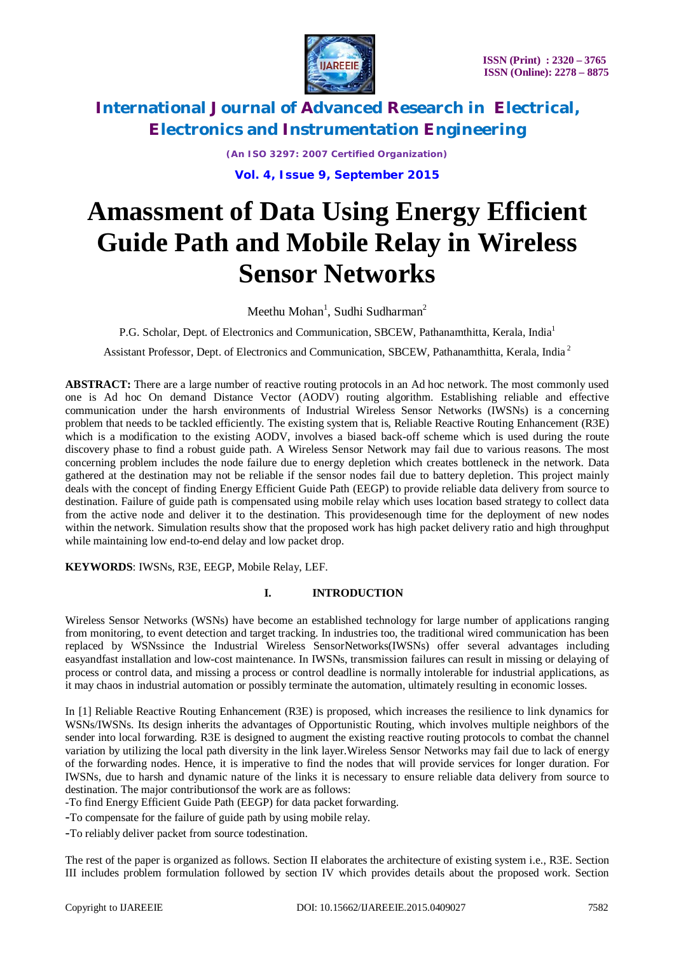

*(An ISO 3297: 2007 Certified Organization)* **Vol. 4, Issue 9, September 2015**

# **Amassment of Data Using Energy Efficient Guide Path and Mobile Relay in Wireless Sensor Networks**

Meethu Mohan<sup>1</sup>, Sudhi Sudharman<sup>2</sup>

P.G. Scholar, Dept. of Electronics and Communication, SBCEW, Pathanamthitta, Kerala, India<sup>1</sup>

Assistant Professor, Dept. of Electronics and Communication, SBCEW, Pathanamthitta, Kerala, India<sup>2</sup>

**ABSTRACT:** There are a large number of reactive routing protocols in an Ad hoc network. The most commonly used one is Ad hoc On demand Distance Vector (AODV) routing algorithm. Establishing reliable and effective communication under the harsh environments of Industrial Wireless Sensor Networks (IWSNs) is a concerning problem that needs to be tackled efficiently. The existing system that is, Reliable Reactive Routing Enhancement (R3E) which is a modification to the existing AODV, involves a biased back-off scheme which is used during the route discovery phase to find a robust guide path. A Wireless Sensor Network may fail due to various reasons. The most concerning problem includes the node failure due to energy depletion which creates bottleneck in the network. Data gathered at the destination may not be reliable if the sensor nodes fail due to battery depletion. This project mainly deals with the concept of finding Energy Efficient Guide Path (EEGP) to provide reliable data delivery from source to destination. Failure of guide path is compensated using mobile relay which uses location based strategy to collect data from the active node and deliver it to the destination. This providesenough time for the deployment of new nodes within the network. Simulation results show that the proposed work has high packet delivery ratio and high throughput while maintaining low end-to-end delay and low packet drop.

**KEYWORDS**: IWSNs, R3E, EEGP, Mobile Relay, LEF.

### **I. INTRODUCTION**

Wireless Sensor Networks (WSNs) have become an established technology for large number of applications ranging from monitoring, to event detection and target tracking. In industries too, the traditional wired communication has been replaced by WSNssince the Industrial Wireless SensorNetworks(IWSNs) offer several advantages including easyandfast installation and low-cost maintenance. In IWSNs, transmission failures can result in missing or delaying of process or control data, and missing a process or control deadline is normally intolerable for industrial applications, as it may chaos in industrial automation or possibly terminate the automation, ultimately resulting in economic losses.

In [1] Reliable Reactive Routing Enhancement (R3E) is proposed, which increases the resilience to link dynamics for WSNs/IWSNs. Its design inherits the advantages of Opportunistic Routing, which involves multiple neighbors of the sender into local forwarding. R3E is designed to augment the existing reactive routing protocols to combat the channel variation by utilizing the local path diversity in the link layer.Wireless Sensor Networks may fail due to lack of energy of the forwarding nodes. Hence, it is imperative to find the nodes that will provide services for longer duration. For IWSNs, due to harsh and dynamic nature of the links it is necessary to ensure reliable data delivery from source to destination. The major contributionsof the work are as follows:

-To find Energy Efficient Guide Path (EEGP) for data packet forwarding.

-To compensate for the failure of guide path by using mobile relay.

-To reliably deliver packet from source todestination.

The rest of the paper is organized as follows. Section II elaborates the architecture of existing system i.e., R3E. Section III includes problem formulation followed by section IV which provides details about the proposed work. Section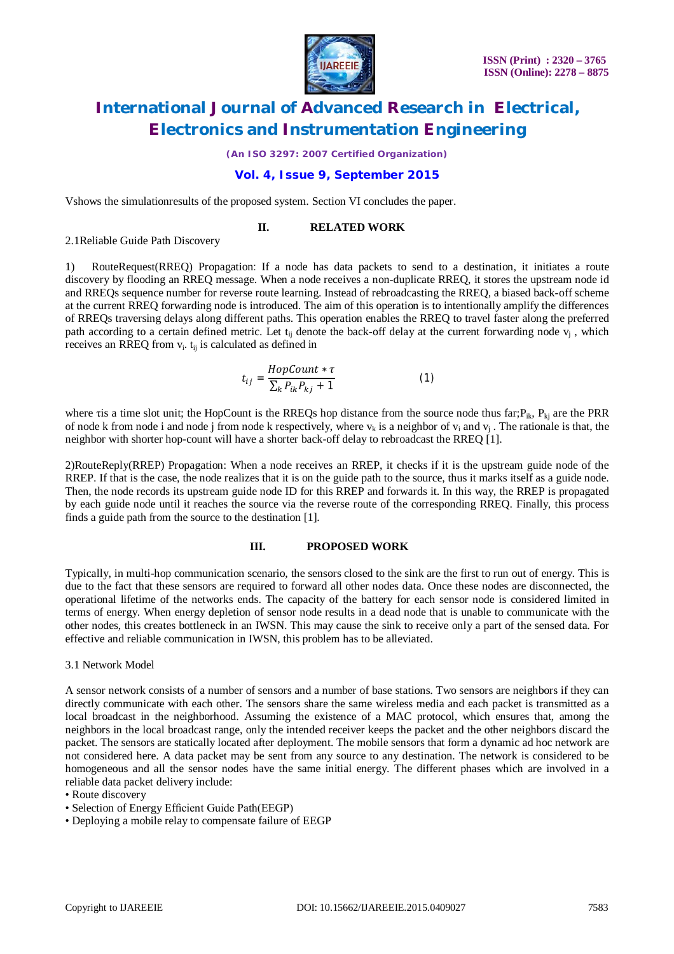

*(An ISO 3297: 2007 Certified Organization)*

### **Vol. 4, Issue 9, September 2015**

Vshows the simulationresults of the proposed system. Section VI concludes the paper.

### **II. RELATED WORK**

2.1Reliable Guide Path Discovery

1) RouteRequest(RREQ) Propagation: If a node has data packets to send to a destination, it initiates a route discovery by flooding an RREQ message. When a node receives a non-duplicate RREQ, it stores the upstream node id and RREQs sequence number for reverse route learning. Instead of rebroadcasting the RREQ, a biased back-off scheme at the current RREQ forwarding node is introduced. The aim of this operation is to intentionally amplify the differences of RREQs traversing delays along different paths. This operation enables the RREQ to travel faster along the preferred path according to a certain defined metric. Let  $t_{ij}$  denote the back-off delay at the current forwarding node  $v_j$ , which receives an RREQ from  $v_i$ .  $t_{ij}$  is calculated as defined in

$$
t_{ij} = \frac{HopCount * \tau}{\sum_{k} P_{ik} P_{kj} + 1}
$$
 (1)

where ris a time slot unit; the HopCount is the RREQs hop distance from the source node thus far; $P_{ik}$ ,  $P_{ki}$  are the PRR of node k from node i and node j from node k respectively, where  $v_k$  is a neighbor of  $v_i$  and  $v_j$ . The rationale is that, the neighbor with shorter hop-count will have a shorter back-off delay to rebroadcast the RREQ [1].

2)RouteReply(RREP) Propagation: When a node receives an RREP, it checks if it is the upstream guide node of the RREP. If that is the case, the node realizes that it is on the guide path to the source, thus it marks itself as a guide node. Then, the node records its upstream guide node ID for this RREP and forwards it. In this way, the RREP is propagated by each guide node until it reaches the source via the reverse route of the corresponding RREQ. Finally, this process finds a guide path from the source to the destination [1].

#### **III. PROPOSED WORK**

Typically, in multi-hop communication scenario, the sensors closed to the sink are the first to run out of energy. This is due to the fact that these sensors are required to forward all other nodes data. Once these nodes are disconnected, the operational lifetime of the networks ends. The capacity of the battery for each sensor node is considered limited in terms of energy. When energy depletion of sensor node results in a dead node that is unable to communicate with the other nodes, this creates bottleneck in an IWSN. This may cause the sink to receive only a part of the sensed data. For effective and reliable communication in IWSN, this problem has to be alleviated.

#### 3.1 Network Model

A sensor network consists of a number of sensors and a number of base stations. Two sensors are neighbors if they can directly communicate with each other. The sensors share the same wireless media and each packet is transmitted as a local broadcast in the neighborhood. Assuming the existence of a MAC protocol, which ensures that, among the neighbors in the local broadcast range, only the intended receiver keeps the packet and the other neighbors discard the packet. The sensors are statically located after deployment. The mobile sensors that form a dynamic ad hoc network are not considered here. A data packet may be sent from any source to any destination. The network is considered to be homogeneous and all the sensor nodes have the same initial energy. The different phases which are involved in a reliable data packet delivery include:

<sup>•</sup> Route discovery

<sup>•</sup> Selection of Energy Efficient Guide Path(EEGP)

<sup>•</sup> Deploying a mobile relay to compensate failure of EEGP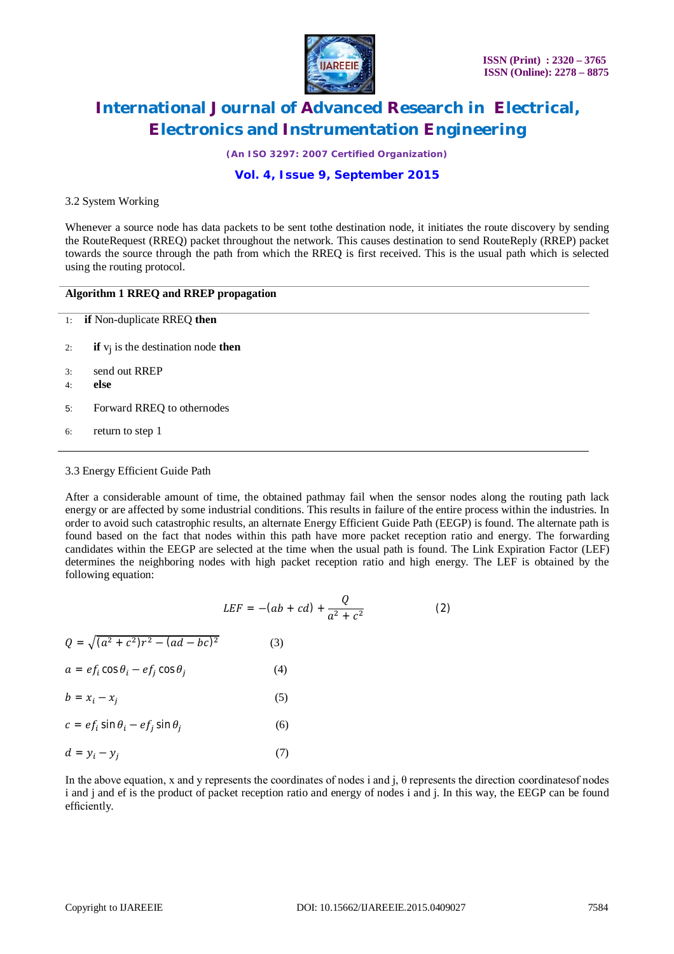

*(An ISO 3297: 2007 Certified Organization)*

## **Vol. 4, Issue 9, September 2015**

#### 3.2 System Working

Whenever a source node has data packets to be sent tothe destination node, it initiates the route discovery by sending the RouteRequest (RREQ) packet throughout the network. This causes destination to send RouteReply (RREP) packet towards the source through the path from which the RREQ is first received. This is the usual path which is selected using the routing protocol.

### **Algorithm 1 RREQ and RREP propagation**

- 1: **if** Non-duplicate RREQ **then**
- 2: **if** vj is the destination node **then**
- 3: send out RREP
- 4: **else**
- 5: Forward RREQ to othernodes
- 6: return to step 1

#### 3.3 Energy Efficient Guide Path

After a considerable amount of time, the obtained pathmay fail when the sensor nodes along the routing path lack energy or are affected by some industrial conditions. This results in failure of the entire process within the industries. In order to avoid such catastrophic results, an alternate Energy Efficient Guide Path (EEGP) is found. The alternate path is found based on the fact that nodes within this path have more packet reception ratio and energy. The forwarding candidates within the EEGP are selected at the time when the usual path is found. The Link Expiration Factor (LEF) determines the neighboring nodes with high packet reception ratio and high energy. The LEF is obtained by the following equation:

$$
LEF = -(ab + cd) + \frac{Q}{a^2 + c^2}
$$
 (2)

| $Q = \sqrt{(a^2 + c^2)r^2 - (ad - bc)^2}$     | (3) |
|-----------------------------------------------|-----|
| $a = ef_i \cos \theta_i - ef_i \cos \theta_i$ | (4) |

| the contract of the contract of the contract of the contract of the contract of the contract of the contract of |  |  |  |
|-----------------------------------------------------------------------------------------------------------------|--|--|--|
|                                                                                                                 |  |  |  |
|                                                                                                                 |  |  |  |
|                                                                                                                 |  |  |  |

- $b = x_i x_i$ (5)
- $c = ef_i \sin \theta_i ef_i \sin \theta_i$ (6)

$$
d = y_i - y_j \tag{7}
$$

In the above equation, x and y represents the coordinates of nodes i and j, θ represents the direction coordinatesof nodes i and j and ef is the product of packet reception ratio and energy of nodes i and j. In this way, the EEGP can be found efficiently.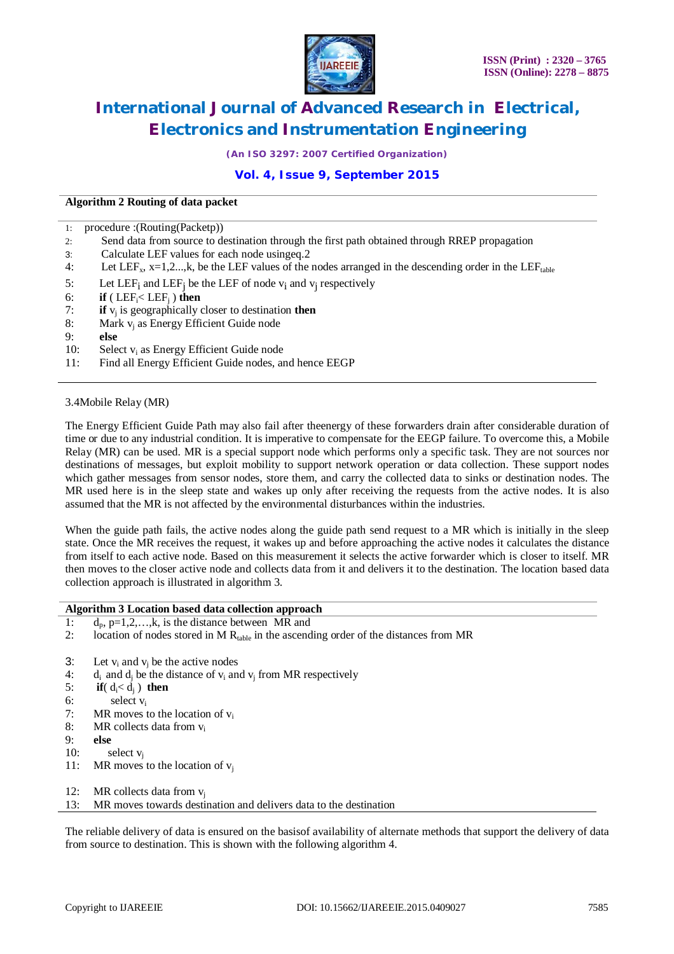

*(An ISO 3297: 2007 Certified Organization)*

# **Vol. 4, Issue 9, September 2015**

#### **Algorithm 2 Routing of data packet**

| $\cdot$ 1: | procedure : (Routing (Packetp))                                                                                             |
|------------|-----------------------------------------------------------------------------------------------------------------------------|
| 2:         | Send data from source to destination through the first path obtained through RREP propagation                               |
| 3:         | Calculate LEF values for each node using eq. 2                                                                              |
| 4:         | Let LEF <sub>x</sub> , x=1,2,k, be the LEF values of the nodes arranged in the descending order in the LEF <sub>table</sub> |
| 5:         | Let LEF <sub>i</sub> and LEF <sub>i</sub> be the LEF of node $v_i$ and $v_j$ respectively                                   |
| 6:         | <b>if</b> (LEF <sub>i</sub> $\lt$ LEF <sub>i</sub> ) then                                                                   |
| 7:         | if $v_i$ is geographically closer to destination then                                                                       |
| 8:         | Mark $v_i$ as Energy Efficient Guide node                                                                                   |
| 9:         | else                                                                                                                        |
| 10:        | Select $v_i$ as Energy Efficient Guide node                                                                                 |
| 11:        | Find all Energy Efficient Guide nodes, and hence EEGP                                                                       |
|            |                                                                                                                             |

3.4Mobile Relay (MR)

The Energy Efficient Guide Path may also fail after theenergy of these forwarders drain after considerable duration of time or due to any industrial condition. It is imperative to compensate for the EEGP failure. To overcome this, a Mobile Relay (MR) can be used. MR is a special support node which performs only a specific task. They are not sources nor destinations of messages, but exploit mobility to support network operation or data collection. These support nodes which gather messages from sensor nodes, store them, and carry the collected data to sinks or destination nodes. The MR used here is in the sleep state and wakes up only after receiving the requests from the active nodes. It is also assumed that the MR is not affected by the environmental disturbances within the industries.

When the guide path fails, the active nodes along the guide path send request to a MR which is initially in the sleep state. Once the MR receives the request, it wakes up and before approaching the active nodes it calculates the distance from itself to each active node. Based on this measurement it selects the active forwarder which is closer to itself. MR then moves to the closer active node and collects data from it and delivers it to the destination. The location based data collection approach is illustrated in algorithm 3.

#### **Algorithm 3 Location based data collection approach**

- 1:  $d_p$ , p=1,2,...,k, is the distance between MR and
- 2: location of nodes stored in M  $R_{table}$  in the ascending order of the distances from MR
- 3: Let  $v_i$  and  $v_j$  be the active nodes<br>4: d<sub>i</sub> and d<sub>i</sub> be the distance of  $v_i$  and
- 4: d<sub>i</sub> and d<sub>j</sub> be the distance of  $v_i$  and  $v_j$  from MR respectively 5: **if** (d < d :) **then**
- 5: **if** $(d_i < d_j)$  **then**<br>6: **select v**<sub>i</sub>
- 6: select  $v_i$ <br>7: MR moves t
- $MR$  moves to the location of  $v_i$
- 8: MR collects data from v<sup>i</sup>
- 9: **else**
- 10: select  $v_i$
- 11: MR moves to the location of  $v_i$
- 12: MR collects data from  $v_i$
- 13: MR moves towards destination and delivers data to the destination

The reliable delivery of data is ensured on the basisof availability of alternate methods that support the delivery of data from source to destination. This is shown with the following algorithm 4.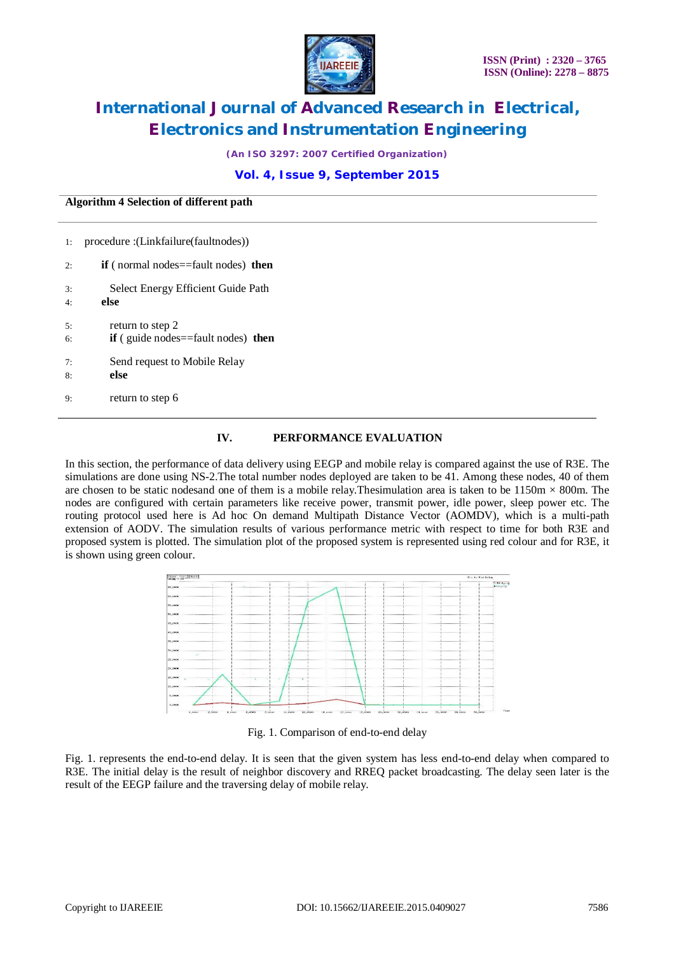

*(An ISO 3297: 2007 Certified Organization)*

### **Vol. 4, Issue 9, September 2015**

**Algorithm 4 Selection of different path**

| 1: | procedure : (Linkfailure (fault nodes))           |
|----|---------------------------------------------------|
| 2: | <b>if</b> (normal nodes==fault nodes) <b>then</b> |
| 3: | Select Energy Efficient Guide Path                |
| 4: | else                                              |
| 5: | return to step 2                                  |
| 6: | $if$ (guide nodes = fault nodes) then             |
| 7: | Send request to Mobile Relay                      |
| 8: | else                                              |
| 9: | return to step 6                                  |

### **IV. PERFORMANCE EVALUATION**

In this section, the performance of data delivery using EEGP and mobile relay is compared against the use of R3E. The simulations are done using NS-2.The total number nodes deployed are taken to be 41. Among these nodes, 40 of them are chosen to be static nodesand one of them is a mobile relay. Thesimulation area is taken to be  $1150m \times 800m$ . The nodes are configured with certain parameters like receive power, transmit power, idle power, sleep power etc. The routing protocol used here is Ad hoc On demand Multipath Distance Vector (AOMDV), which is a multi-path extension of AODV. The simulation results of various performance metric with respect to time for both R3E and proposed system is plotted. The simulation plot of the proposed system is represented using red colour and for R3E, it is shown using green colour.



Fig. 1. Comparison of end-to-end delay

Fig. 1. represents the end-to-end delay. It is seen that the given system has less end-to-end delay when compared to R3E. The initial delay is the result of neighbor discovery and RREQ packet broadcasting. The delay seen later is the result of the EEGP failure and the traversing delay of mobile relay.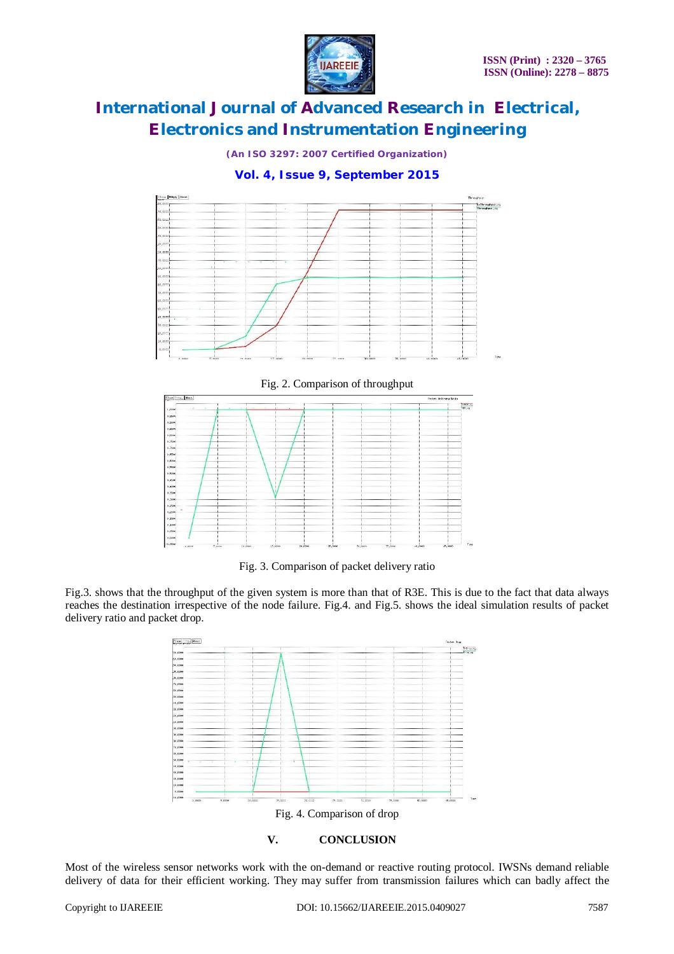

*(An ISO 3297: 2007 Certified Organization)*

# **Vol. 4, Issue 9, September 2015**



Fig. 2. Comparison of throughput



Fig. 3. Comparison of packet delivery ratio

Fig.3. shows that the throughput of the given system is more than that of R3E. This is due to the fact that data always reaches the destination irrespective of the node failure. Fig.4. and Fig.5. shows the ideal simulation results of packet delivery ratio and packet drop.



**V. CONCLUSION**

Most of the wireless sensor networks work with the on-demand or reactive routing protocol. IWSNs demand reliable delivery of data for their efficient working. They may suffer from transmission failures which can badly affect the